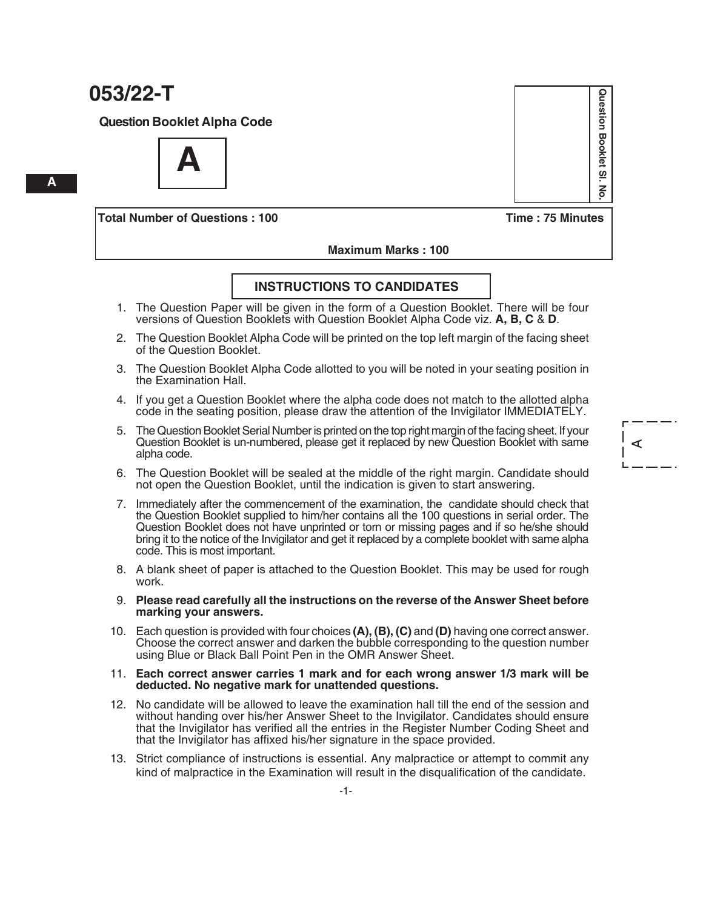**Question Booklet Alpha Code**

**A**

**Total Number of Questions : 100 Time : 75 Minutes**

Question Booklet SI **Question Booklet Sl. No.**  $\overline{6}$ 

 $\prec$ 

 **Maximum Marks : 100**

#### **INSTRUCTIONS TO CANDIDATES**

- 1. The Question Paper will be given in the form of a Question Booklet. There will be four versions of Question Booklets with Question Booklet Alpha Code viz. **A, B, C** & **D**.
- 2. The Question Booklet Alpha Code will be printed on the top left margin of the facing sheet of the Question Booklet.
- 3. The Question Booklet Alpha Code allotted to you will be noted in your seating position in the Examination Hall.
- 4. If you get a Question Booklet where the alpha code does not match to the allotted alpha code in the seating position, please draw the attention of the Invigilator IMMEDIATELY.
- 5. The Question Booklet Serial Number is printed on the top right margin of the facing sheet. If your Question Booklet is un-numbered, please get it replaced by new Question Booklet with same alpha code.
- 6. The Question Booklet will be sealed at the middle of the right margin. Candidate should not open the Question Booklet, until the indication is given to start answering.
- 7. Immediately after the commencement of the examination, the candidate should check that the Question Booklet supplied to him/her contains all the 100 questions in serial order. The Question Booklet does not have unprinted or torn or missing pages and if so he/she should bring it to the notice of the Invigilator and get it replaced by a complete booklet with same alpha code. This is most important.
- 8. A blank sheet of paper is attached to the Question Booklet. This may be used for rough work.
- 9. **Please read carefully all the instructions on the reverse of the Answer Sheet before marking your answers.**
- 10. Each question is provided with four choices **(A), (B), (C)** and **(D)** having one correct answer. Choose the correct answer and darken the bubble corresponding to the question number using Blue or Black Ball Point Pen in the OMR Answer Sheet.

#### 11. **Each correct answer carries 1 mark and for each wrong answer 1/3 mark will be deducted. No negative mark for unattended questions.**

- 12. No candidate will be allowed to leave the examination hall till the end of the session and without handing over his/her Answer Sheet to the Invigilator. Candidates should ensure that the Invigilator has verified all the entries in the Register Number Coding Sheet and that the Invigilator has affixed his/her signature in the space provided.
- 13. Strict compliance of instructions is essential. Any malpractice or attempt to commit any kind of malpractice in the Examination will result in the disqualification of the candidate.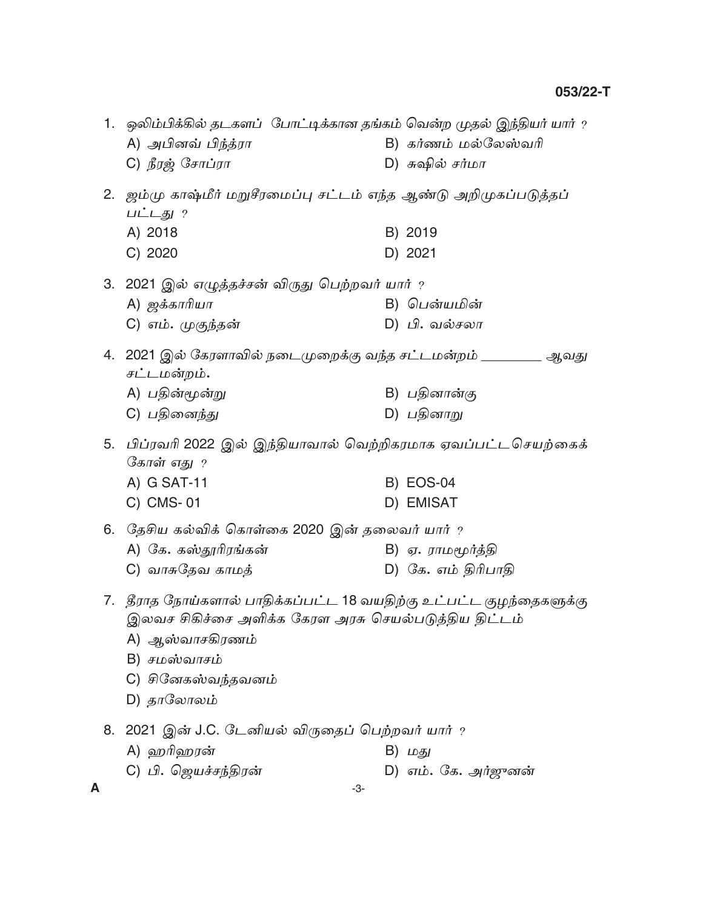|         | 1. ஒலிம்பிக்கில் தடகளப் போட்டிக்கான தங்கம் வென்ற முதல் இந்தியர் யார் ?<br>A) அபினவ் பிந்த்ரா<br>C) நீரஜ் சோப்ரா                                                                                      | B) கர்ணம் மல்லேஸ்வரி<br>D) சுஷில் சர்மா  |
|---------|------------------------------------------------------------------------------------------------------------------------------------------------------------------------------------------------------|------------------------------------------|
|         | 2. ஜம்மு காஷ்மீர் மறுசீரமைப்பு சட்டம் எந்த ஆண்டு அறிமுகப்படுத்தப்<br>பட்டது ?<br>A) 2018<br>C) 2020                                                                                                  | B) 2019<br>D) 2021                       |
|         | 3.  2021 இல் எழுத்தச்சன் விருது பெற்றவர் யார் $\it$<br>A) <i>ஜக்காரியா</i><br>C) எம். முகுந்தன்                                                                                                      | B) பென்யமின்<br>D) பி. வல்சலா            |
|         | 4. 2021 இல் கேரளாவில் நடைமுறைக்கு வந்த சட்டமன்றம் ________ ஆவது<br>சட்டமன்றம்.<br>A) பதின்மூன்று<br>C) பதினைந்து                                                                                     | B) பதினான்கு<br>D) பதினாறு               |
|         | 5. பிப்ரவரி 2022 இல் இந்தியாவால் வெற்றிகரமாக ஏவப்பட்டசெயற்கைக்<br>கோள் எது ?<br>A) G SAT-11<br>C) CMS-01                                                                                             | <b>B) EOS-04</b><br>D) EMISAT            |
|         | 6. தேசிய கல்விக் கொள்கை 2020 இன் தலைவர் யார் ?<br>A) கே. கஸ்தூரிரங்கன்<br>C) வாசுதேவ காமத்                                                                                                           | B) ஏ. ராமமூர்த்தி<br>D) கே. எம் திரிபாதி |
|         | 7.   தீராத நோய்களால் பாதிக்கப்பட்ட 18 வயதிற்கு உட்பட்ட குழந்தைகளுக்கு<br>இலவச சிகிச்சை அளிக்க கேரள அரசு செயல்படுத்திய திட்டம்<br>A) ஆஸ்வாசகிரணம்<br>B) சமஸ்வாசம்<br>C) சினேகஸ்வந்தவனம்<br>D) தாலோலம் |                                          |
| 8.<br>A | 2021 இன் J.C. டேனியல் விருதைப் பெற்றவர் யார் ?<br>A) ஹரிஹரன்<br>C) பி. ஜெயச்சந்திரன்<br>-3-                                                                                                          | B) மது<br>D) எம். கே. அர்ஜுனன்           |

 $-3-$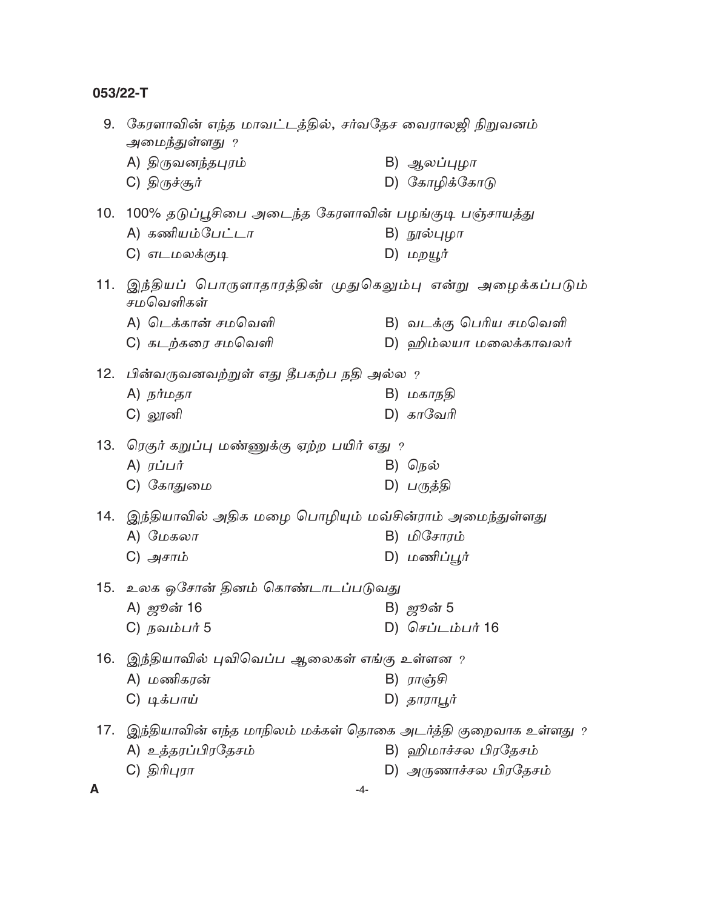|     | 9. கேரளாவின் எந்த மாவட்டத்தில், சர்வதேச வைராலஜி நிறுவனம்<br>அமைந்துள்ளது ? |                                                                |  |  |  |
|-----|----------------------------------------------------------------------------|----------------------------------------------------------------|--|--|--|
|     | A) திருவனந்தபுரம்                                                          | B) ஆலப்புழா                                                    |  |  |  |
|     | C) திருச்சூர்                                                              | D) கோழிக்கோடு                                                  |  |  |  |
|     | 10. 100% தடுப்பூசிபை அடைந்த கேரளாவின் பழங்குடி பஞ்சாயத்து                  |                                                                |  |  |  |
|     | A) கணியம்பேட்டா                                                            | B) நூல்புழா                                                    |  |  |  |
|     | C) எடமலக்குடி                                                              | D) மறயூர்                                                      |  |  |  |
|     | சமவெளிகள்                                                                  | 11. இந்தியப் பொருளாதாரத்தின் முதுகெலும்பு என்று அழைக்கப்படும்  |  |  |  |
|     | A) டெக்கான் சமவெளி                                                         | B) வடக்கு பெரிய சமவெளி                                         |  |  |  |
|     | C) கடற்கரை சமவெளி                                                          | D) ஹிம்லயா மலைக்காவலர்                                         |  |  |  |
|     | 12.   பின்வருவனவற்றுள் எது தீபகற்ப நதி அல்ல ?                              |                                                                |  |  |  |
|     | $A)$ நர்மதா                                                                | B) மகாநதி                                                      |  |  |  |
|     | C) லூனி                                                                    | $D)$ காவேரி                                                    |  |  |  |
|     | 13. ரெகுர் கறுப்பு மண்ணுக்கு ஏற்ற பயிர் எது ?                              |                                                                |  |  |  |
|     | A) $\vec{J}$ $\vec{J}$                                                     | B) நெல்                                                        |  |  |  |
|     | C) கோதுமை                                                                  | D) பருத்தி                                                     |  |  |  |
|     | 14. இந்தியாவில் அதிக மழை பொழியும் மவ்சின்ராம் அமைந்துள்ளது                 |                                                                |  |  |  |
|     | $A)$ மேகலா                                                                 | B) மிசோரம்                                                     |  |  |  |
|     | C) அசாம்                                                                   | D) மணிப்பூர்                                                   |  |  |  |
|     | 15.  உலக ஒசோன் தினம் கொண்டாடப்படுவது                                       |                                                                |  |  |  |
|     | A) ஜூன் 16                                                                 | B) ஜூன் 5                                                      |  |  |  |
|     | C) நவம்பர் 5                                                               | D) செப்டம்பர் 16                                               |  |  |  |
| 16. | இந்தியாவில் புவிவெப்ப ஆலைகள் எங்கு உள்ளன ?                                 |                                                                |  |  |  |
|     | A) மணிகரன்                                                                 | B) ராஞ்சி                                                      |  |  |  |
|     | C) டிக்பாய்                                                                | D) தாராபூர்                                                    |  |  |  |
| 17. |                                                                            | இந்தியாவின் எந்த மாநிலம் மக்கள் தொகை அடர்த்தி குறைவாக உள்ளது ? |  |  |  |
|     | A) உத்தரப்பிரதேசம்                                                         | B) ஹிமாச்சல பிரதேசம்                                           |  |  |  |
|     | C) திரிபுரா                                                                | D) அருணாச்சல பிரதேசம்                                          |  |  |  |
| A   |                                                                            | -4-                                                            |  |  |  |

-4-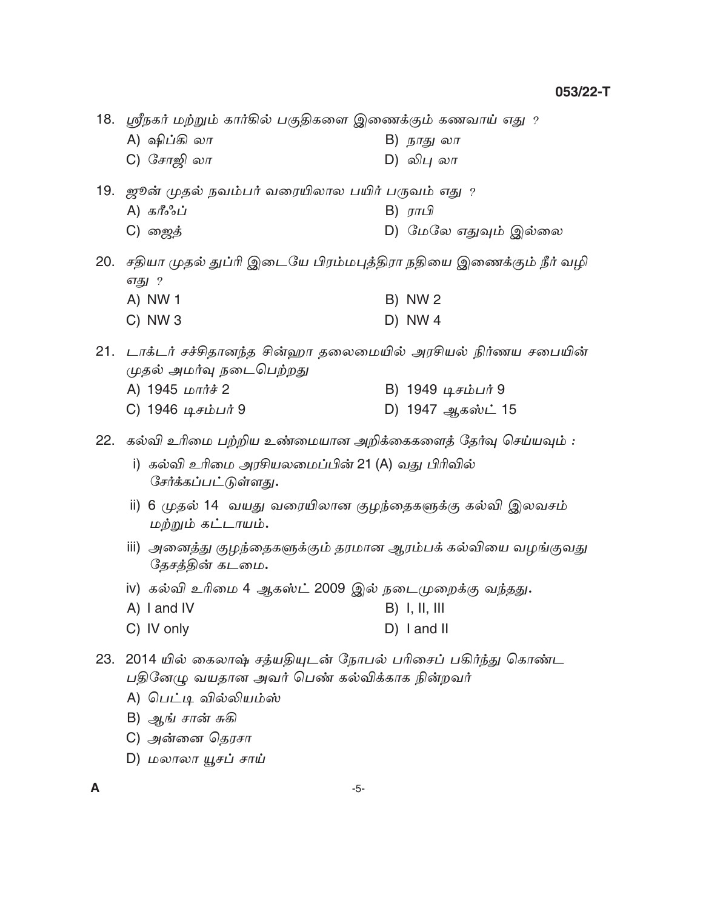18. ஸ்ரீநகர் மற்றும் கார்கில் பகுதிகளை இணைக்கும் கணவாய் எது ?

- A) ஷிப்கி லா B) நாது லா
- C) சோஜி லா D) லிபு லா
- 19. ஜூன் முதல் நவம்பர் வரையிலால பயிர் பருவம் எது ?
	- A) கரீஃப் B)  $\pi r \mathcal{Q}$
	- C) ஜைத் D) மேலே எதுவும் இல்லை

20. சதியா முதல் துப்ரி இடையே பிரம்மபுத்திரா நதியை இணைக்கும் நீர் வழி எது ? A) NW 1 **B) NW2**  $D)$  NW 4  $C)$  NW 3

21. டாக்டர் சச்சிதானந்த சின்ஹா தலைமையில் அரசியல் நிர்ணய சபையின் முதல் அமர்வு நடைபெற்றது

- A) 1945 மார்ச் 2 B) 1949 டிசம்பர் 9
- C) 1946 டிசம்பர் 9 D) 1947 ஆகஸ்ட் 15

22. கல்வி உரிமை பற்றிய உண்மையான அறிக்கைகளைத் தேர்வு செய்யவும் :

- i) கல்வி உரிமை அரசியலமைப்பின் 21 (A) வது பிரிவில் சேர்க்கப்பட்டுள்ளது.
- ii) 6 முதல் 14 வயது வரையிலான குழந்தைகளுக்கு கல்வி இலவசம் மற்றும் கட்டாயம்.
- iii) அனைத்து குழந்தைகளுக்கும் தரமான ஆரம்பக் கல்வியை வழங்குவது தேசத்தின் கடமை.
- iv) கல்வி உரிமை 4 ஆகஸ்ட் 2009 இல் நடைமுறைக்கு வந்தது**.**
- A) I and IV  $B)$  I, II, III
- C) IV only  $D)$  I and II

23. 2014 யில் கைலாஷ் சத்யதியுடன் நோபல் பரிசைப் பகிர்ந்து கொண்ட பதினேழு வயதான அவர் பெண் கல்விக்காக நின்றவர்

- A) பெட்டி வில்லியம்ஸ்
- B) ஆங் சான் சுகி
- C) அன்னை தெரசா
- D) மலாலா யூசப் சாய்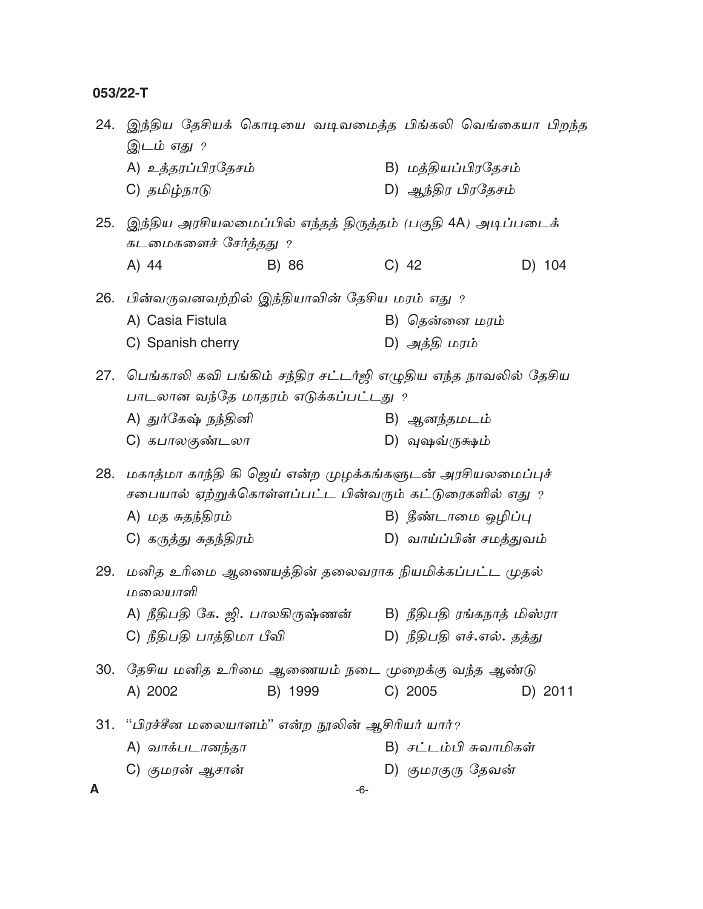24. இந்திய தேசியக் கொடியை வடிவமைத்த பிங்கலி வெங்கையா பிறந்த இடம் எது ? A) உத்தரப்பிரதேசம் B) மக்கியப்பிரகேசம் C) தமிழ்நாடு D) ஆந்திர பிரதேசம் 25. இந்திய அரசியலமைப்பில் எந்தத் திருத்தம் (பகுதி 4A) அடிப்படைக் கடமைகளைச் சேர்த்தது ? A) 44  $C)$  42 D) 104 B) 86 26. பின்வருவனவற்றில் இந்தியாவின் தேசிய மரம் எது ? A) Casia Fistula B) தென்னை மரம் C) Spanish cherry D) அத்தி மரம் 27. பெங்காலி கவி பங்கிம் சந்திர சட்டர்ஜி எழுதிய எந்த நாவலில் தேசிய பாடலான வந்தே மாதரம் எடுக்கப்பட்டது ? A) துர்கேஷ் நந்தினி B) ஆனந்தமடம் C) கபாலகுண்டலா D) வுஷவ்ருக்ஷம் 28. மகாத்மா காந்தி கி ஜெய் என்ற முழக்கங்களுடன் அரசியலமைப்புச் சபையால் ஏற்றுக்கொள்ளப்பட்ட பின்வரும் கட்டுரைகளில் எது ? A) மத சுதந்திரம் B) தீண்டாமை ஒழிப்பு C) கருத்து சுதந்திரம் D) வாய்ப்பின் சமத்துவம் 29. மனித உரிமை ஆணையத்தின் தலைவராக நியமிக்கப்பட்ட முதல் மலையாளி A) நீதிபதி கே. ஜி. பாலகிருஷ்ணன் B) நீதிபதி ரங்கநாத் மிஸ்ரா C) நீதிபதி பாத்திமா பீவி D) நீதிபதி எச்.எல். தத்து 30. தேசிய மனித உரிமை ஆணையம் நடை முறைக்கு வந்த ஆண்டு A) 2002 B) 1999  $C) 2005$ D) 2011 31. "பிரச்சீன மலையாளம்" என்ற நூலின் ஆசிரியர் யார்? A) வாக்படானந்தா B) சட்டம்பி சுவாமிகள் C) குமரன் ஆசான் D) குமரகுரு தேவன் A  $-6-$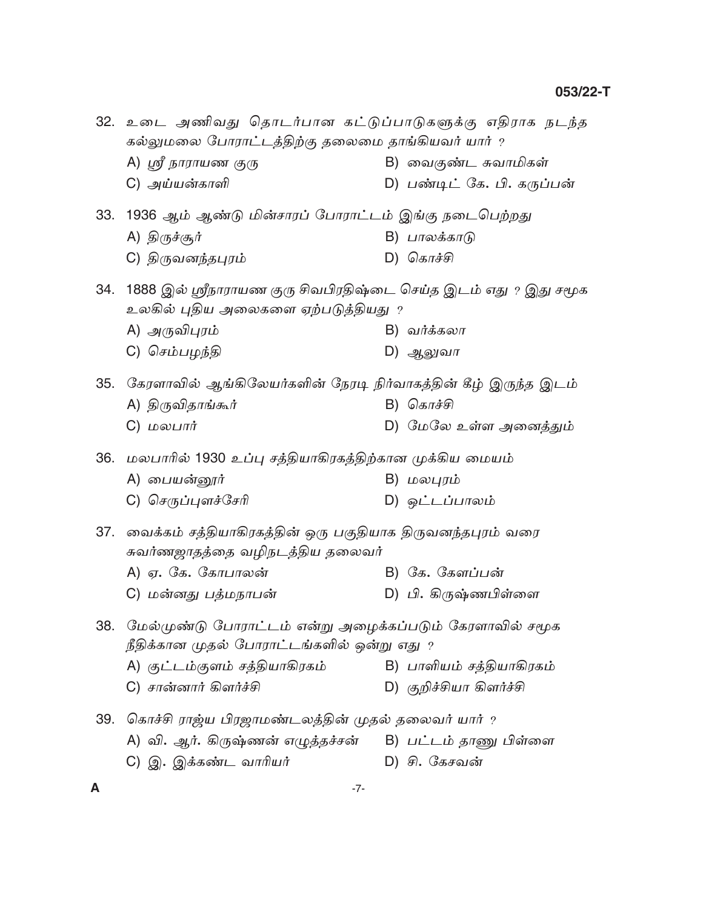|     | 32. உடை அணிவது தொடர்பான கட்டுப்பாடுகளுக்கு எதிராக நடந்த<br>கல்லுமலை போராட்டத்திற்கு தலைமை தாங்கியவர் யார் ? |  |                             |  |  |
|-----|-------------------------------------------------------------------------------------------------------------|--|-----------------------------|--|--|
|     | A) ஸ்ரீ நாராயண குரு                                                                                         |  | B) வைகுண்ட சுவாமிகள்        |  |  |
|     | C) அய்யன்காளி                                                                                               |  | D) பண்டிட் கே. பி. கருப்பன் |  |  |
|     | 33. 1936 ஆம் ஆண்டு மின்சாரப் போராட்டம் இங்கு நடைபெற்றது                                                     |  |                             |  |  |
|     | A) திருச்சூர்                                                                                               |  | B) பாலக்காடு                |  |  |
|     | C) திருவனந்தபுரம்                                                                                           |  | D) கொச்சி                   |  |  |
|     | 34. 1888 இல் ஸ்ரீநாராயண குரு சிவபிரதிஷ்டை செய்த இடம் எது ? இது சமூக<br>உலகில் புதிய அலைகளை ஏற்படுத்தியது ?  |  |                             |  |  |
|     | A) அருவிபுரம்                                                                                               |  | B) வர்க்கலா                 |  |  |
|     | C) செம்பழந்தி                                                                                               |  | D) ஆலுவா                    |  |  |
|     | 35. கேரளாவில் ஆங்கிலேயர்களின் நேரடி நிர்வாகத்தின் கீழ் இருந்த இடம்                                          |  |                             |  |  |
|     | A) திருவிதாங்கூர்                                                                                           |  | $B)$ கொச்சி                 |  |  |
|     | $C)$ மலபார்                                                                                                 |  | D) மேலே உள்ள அனைத்தும்      |  |  |
|     | 36. மலபாரில் 1930 உப்பு சத்தியாகிரகத்திற்கான முக்கிய மையம்                                                  |  |                             |  |  |
|     | A) பையன்னூர்                                                                                                |  | B) மலபுரம்                  |  |  |
|     | C) செருப்புளச்சேரி                                                                                          |  | D) ஒட்டப்பாலம்              |  |  |
| 37. | வைக்கம் சத்தியாகிரகத்தின் ஒரு பகுதியாக திருவனந்தபுரம் வரை<br>சுவர்ணஜாதத்தை வழிநடத்திய தலைவர்                |  |                             |  |  |
|     | A) ஏ. கே. கோபாலன்                                                                                           |  | B) கே. கேளப்பன்             |  |  |
|     | C) மன்னது பத்மநாபன்                                                                                         |  | D) பி. கிருஷ்ணபிள்ளை        |  |  |
| 38. | மேல்முண்டு போராட்டம் என்று அழைக்கப்படும் கேரளாவில் சமூக<br>நீதிக்கான முதல் போராட்டங்களில் ஒன்று எது $\,$    |  |                             |  |  |
|     | A) குட்டம்குளம் சத்தியாகிரகம்                                                                               |  | B) பாளியம் சத்தியாகிரகம்    |  |  |
|     | C) சான்னார் கிளர்ச்சி                                                                                       |  | D) குறிச்சியா கிளர்ச்சி     |  |  |
|     | 39.  கொச்சி ராஜ்ய பிரஜாமண்டலத்தின் முதல் தலைவர் யார் ?                                                      |  |                             |  |  |
|     | A) வி. ஆர். கிருஷ்ணன் எழுத்தச்சன்     B) பட்டம் தாணு பிள்ளை                                                 |  |                             |  |  |
|     | C) இ. இக்கண்ட வாரியர்                                                                                       |  | D) சி. கேசவன்               |  |  |
|     |                                                                                                             |  |                             |  |  |

 $\boldsymbol{\mathsf{A}}$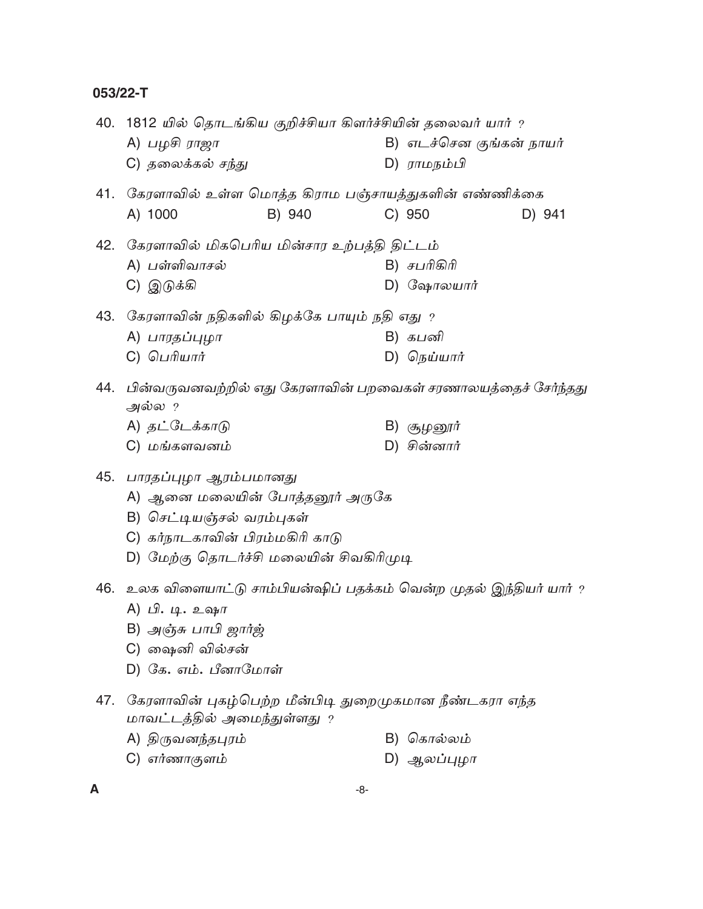|     | 40. 1812 யில் தொடங்கிய குறிச்சியா கிளர்ச்சியின் தலைவர் யார் ?<br>B) எடச்சென குங்கன் நாயர்<br>A) பழசி ராஜா |        |    |                                                        |        |
|-----|-----------------------------------------------------------------------------------------------------------|--------|----|--------------------------------------------------------|--------|
|     | C) தலைக்கல் ச <u>ந்</u> து                                                                                |        |    | D) ராமநம்பி                                            |        |
|     | 41. கேரளாவில் உள்ள மொத்த கிராம பஞ்சாயத்துகளின் எண்ணிக்கை                                                  |        |    |                                                        |        |
|     | A) 1000                                                                                                   | B) 940 |    | C) 950                                                 | D) 941 |
|     | 42. கேரளாவில் மிகபெரிய மின்சார உற்பத்தி திட்டம்                                                           |        |    |                                                        |        |
|     | A) பள்ளிவாசல்                                                                                             |        |    | B) சபரிகிரி                                            |        |
|     | C) இடுக்கி                                                                                                |        |    | D) $G_{\mathbf{Q} \mathbf{H}}$ тошпт                   |        |
|     | 43.   கேரளாவின் நதிகளில் கிழக்கே பாயும் நதி எது $\,$ ?                                                    |        |    |                                                        |        |
|     | A) பாரதப்புழா                                                                                             |        |    | B) கபனி                                                |        |
|     | $C)$ பெரியார்                                                                                             |        |    | D) நெய்யார்                                            |        |
|     | 44. பின்வருவனவற்றில் எது கேரளாவின் பறவைகள் சரணாலயத்தைச் சேர்ந்தது<br>அல்ல ?                               |        |    |                                                        |        |
|     | A) தட்டேக்காடு                                                                                            |        |    | B) சூழனூர்                                             |        |
|     | C) மங்களவனம்                                                                                              |        |    | $D)$ சின்னார்                                          |        |
|     | 45. பாரதப்புழா ஆரம்பமானது                                                                                 |        |    |                                                        |        |
|     | A) ஆனை மலையின் போத்தனூர் அருகே                                                                            |        |    |                                                        |        |
|     | B) செட்டியஞ்சல் வரம்புகள்                                                                                 |        |    |                                                        |        |
|     | C) கர்நாடகாவின் பிரம்மகிரி காடு                                                                           |        |    |                                                        |        |
|     | D) மேற்கு தொடர்ச்சி மலையின் சிவகிரிமுடி                                                                   |        |    |                                                        |        |
|     | 46. உலக விளையாட்டு சாம்பியன்ஷிப் பதக்கம் வென்ற முதல் இந்தியர் யார் ?<br>A) பி. டி. உஷா                    |        |    |                                                        |        |
|     | B) அஞ்சு பாபி ஜார்ஜ்                                                                                      |        |    |                                                        |        |
|     | C) வையளி வில்சன்                                                                                          |        |    |                                                        |        |
|     | D) கே. எம். பீனாமோள்                                                                                      |        |    |                                                        |        |
| 47. | மாவட்டத்தில் அமைந்துள்ளது ?                                                                               |        |    | கேரளாவின் புகழ்பெற்ற மீன்பிடி துறைமுகமான நீண்டகரா எந்த |        |
|     | A) திருவனந்தபுரம்                                                                                         |        | B) | கொல்லம்                                                |        |
|     | $C$ ) எர்ணாகுளம்                                                                                          |        |    | D) ஆலப்புழா                                            |        |

 $\boldsymbol{\mathsf{A}}$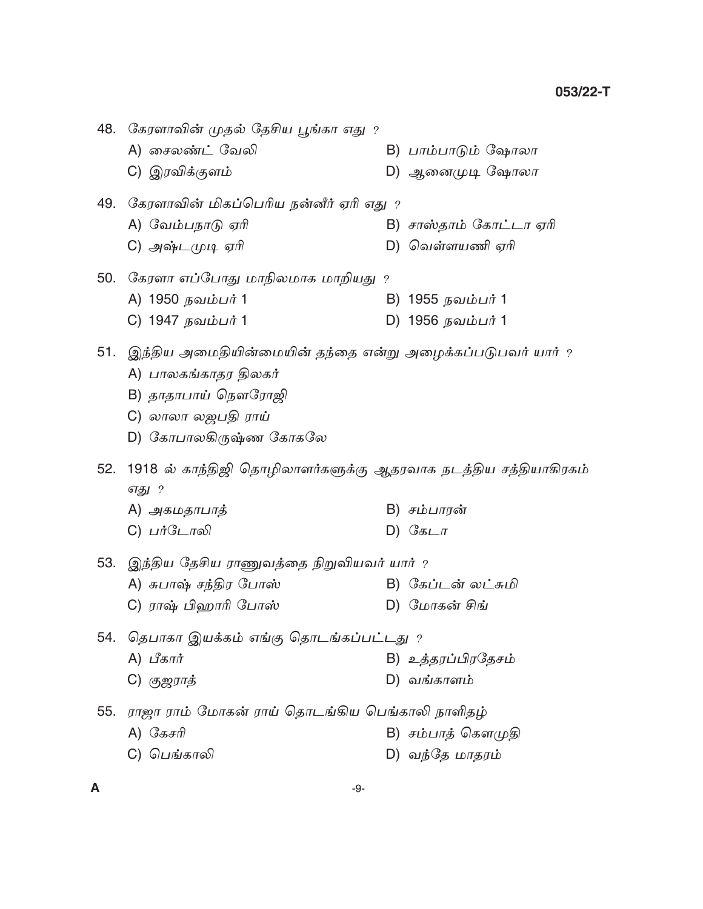|     | 48. கேரளாவின் முதல் தேசிய பூங்கா எது ?                                                                                            |                        |
|-----|-----------------------------------------------------------------------------------------------------------------------------------|------------------------|
|     | A) சைலண்ட் வேலி                                                                                                                   | B) பாம்பாடும் ஷோலா     |
|     | C) இரவிக்குளம்                                                                                                                    | D) ஆனைமுடி ஷோலா        |
|     | 49. கேரளாவின் மிகப்பெரிய நன்னீர் ஏரி எது ?                                                                                        |                        |
|     | A) வேம்பநாடு ஏரி                                                                                                                  | B) சாஸ்தாம் கோட்டா ஏரி |
|     | C) அஷ்டமுடி ஏரி                                                                                                                   | D) வெள்ளயணி ஏரி        |
|     | 50. கேரளா எப்போது மாநிலமாக மாறியது ?                                                                                              |                        |
|     | A) 1950 நவம்பர் 1                                                                                                                 | B) 1955 நவம்பர் 1      |
|     | C) 1947 நவம்பர் 1                                                                                                                 | D) 1956 நவம்பர் 1      |
|     | 51. இந்திய அமைதியின்மையின் தந்தை என்று அழைக்கப்படுபவர் யார் ?<br>A) பாலகங்காதர திலகர்<br>B) தாதாபாய் நௌரோஜி<br>C) லாலா லஜபதி ராய் |                        |
|     | D) கோபாலகிருஷ்ண கோகலே                                                                                                             |                        |
| 52. | 1918 ல் காந்திஜி தொழிலாளர்களுக்கு ஆதரவாக நடத்திய சத்தியாகிரகம்<br>எது ?                                                           |                        |
|     | A) அகமதாபாத்                                                                                                                      | B) சம்பாரன்            |
|     | C) பர்டோலி                                                                                                                        | D) $G_{\mathcal{B}L}$  |
|     | 53. இந்திய தேசிய ராணுவத்தை நிறுவியவர் யார் ?                                                                                      |                        |
|     | A) சுபாஷ் சந்திர போஸ்                                                                                                             | B) கேப்டன் லட்சுமி     |
|     | C) ராஷ் பிஹாரி போஸ்                                                                                                               | D) மோகன் சிங்          |
|     | 54. தெபாகா இயக்கம் எங்கு தொடங்கப்பட்டது ?                                                                                         |                        |
|     | $A)$ பீகார்                                                                                                                       | B) உத்தரப்பிரதேசம்     |
|     | C) குஜராத்                                                                                                                        | D) வங்காளம்            |
| 55. | ராஜா ராம் மோகன் ராய் தொடங்கிய பெங்காலி நாளிதழ்                                                                                    |                        |
|     | $A)$ சேசரி                                                                                                                        | B) சம்பாத் கௌமுதி      |
|     | C) பெங்காலி                                                                                                                       | D) வந்தே மாதரம்        |
|     |                                                                                                                                   |                        |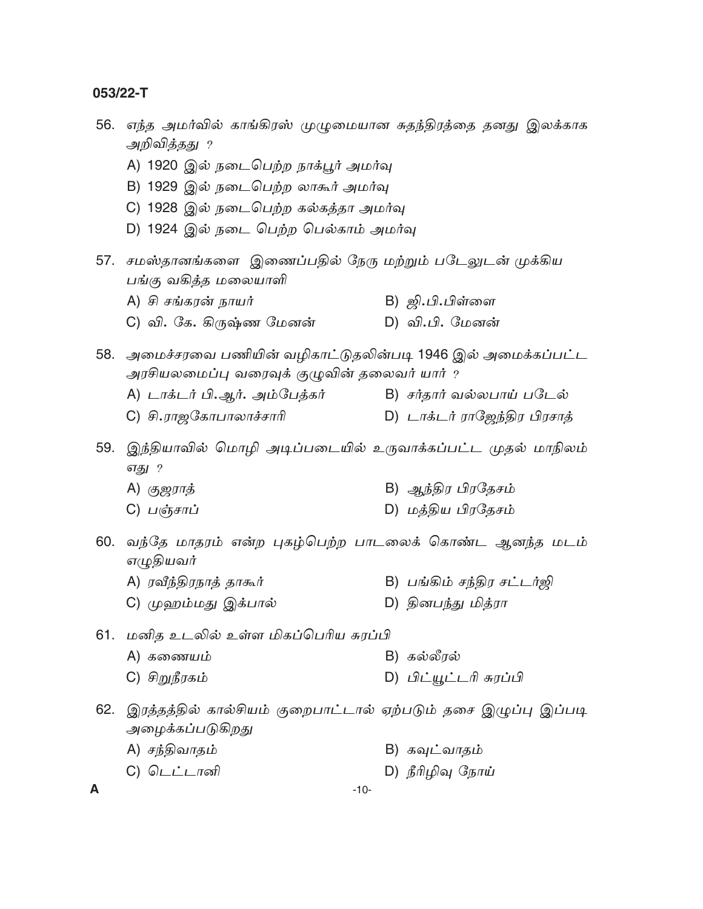| 56. | எந்த அமர்வில் காங்கிரஸ் முழுமையான சுதந்திரத்தை தனது இலக்காக<br>அறிவித்தது ? |                              |  |  |  |  |
|-----|-----------------------------------------------------------------------------|------------------------------|--|--|--|--|
|     |                                                                             |                              |  |  |  |  |
|     | A) 1920 இல் நடைபெற்ற நாக்பூர் அமர்வு                                        |                              |  |  |  |  |
|     | B) 1929 இல் நடைபெற்ற லாகூர் அமர்வு                                          |                              |  |  |  |  |
|     | C) 1928 இல் நடைபெற்ற கல்கத்தா அமர்வு                                        |                              |  |  |  |  |
|     | D) 1924 இல் நடை பெற்ற பெல்காம் அமர்வு                                       |                              |  |  |  |  |
| 57. | சமஸ்தானங்களை இணைப்பதில் நேரு மற்றும் படேலுடன் முக்கிய                       |                              |  |  |  |  |
|     | பங்கு வகித்த மலையாளி                                                        |                              |  |  |  |  |
|     | A) சி சங்கரன் நாயர்                                                         | B) <i>ஜி.பி.பிள்ளை</i>       |  |  |  |  |
|     | C) வி. கே. கிருஷ்ண மேனன்                                                    | D) வி.பி. மேனன்              |  |  |  |  |
| 58. | அமைச்சரவை பணியின் வழிகாட்டுதலின்படி 1946 இல் அமைக்கப்பட்ட                   |                              |  |  |  |  |
|     | அரசியலமைப்பு வரைவுக் குழுவின் தலைவர் யார் ?                                 |                              |  |  |  |  |
|     | A) டாக்டர் பி.ஆர். அம்பேத்கர்                                               | B) சர்தார் வல்லபாய் படேல்    |  |  |  |  |
|     | C) சி.ராஜகோபாலாச்சாரி                                                       | D) டாக்டர் ராஜேந்திர பிரசாத் |  |  |  |  |
| 59. | இந்தியாவில் மொழி அடிப்படையில் உருவாக்கப்பட்ட முதல் மாநிலம்                  |                              |  |  |  |  |
|     | எது ?                                                                       |                              |  |  |  |  |
|     | A) கு <i>ஜராத்</i>                                                          | B) ஆந்திர பிரதேசம்           |  |  |  |  |
|     | C) பஞ்சாப்                                                                  | D) மத்திய பிரதேசம்           |  |  |  |  |
| 60. | வந்தே மாதரம் என்ற புகழ்பெற்ற பாடலைக் கொண்ட ஆனந்த மடம்                       |                              |  |  |  |  |
|     | எழுதியவர்                                                                   |                              |  |  |  |  |
|     | A) ரவீந்திரநாத் தாகூர்                                                      | B) பங்கிம் சந்திர சட்டர்ஜி   |  |  |  |  |
|     | C) முஹம்மது இக்பால்                                                         | D) தினபந்து மித்ரா           |  |  |  |  |
| 61. | மனித உடலில் உள்ள மிகப்பெரிய சுரப்பி                                         |                              |  |  |  |  |
|     | A) கணையம்                                                                   | B) கல்லீரல்                  |  |  |  |  |
|     | C) சிறுநீரகம்                                                               | D) பிட்யூட்டரி சுரப்பி       |  |  |  |  |
| 62. | இரத்தத்தில் கால்சியம் குறைபாட்டால் ஏற்படும் தசை இழுப்பு இப்படி              |                              |  |  |  |  |
|     | அழைக்கப்படுகிறது                                                            |                              |  |  |  |  |
|     | A) சந்திவாதம்                                                               | B) கவுட்வாதம்                |  |  |  |  |
|     | C) டெட்டானி                                                                 | D) நீரிழிவு நோய்             |  |  |  |  |
| A   | $-10-$                                                                      |                              |  |  |  |  |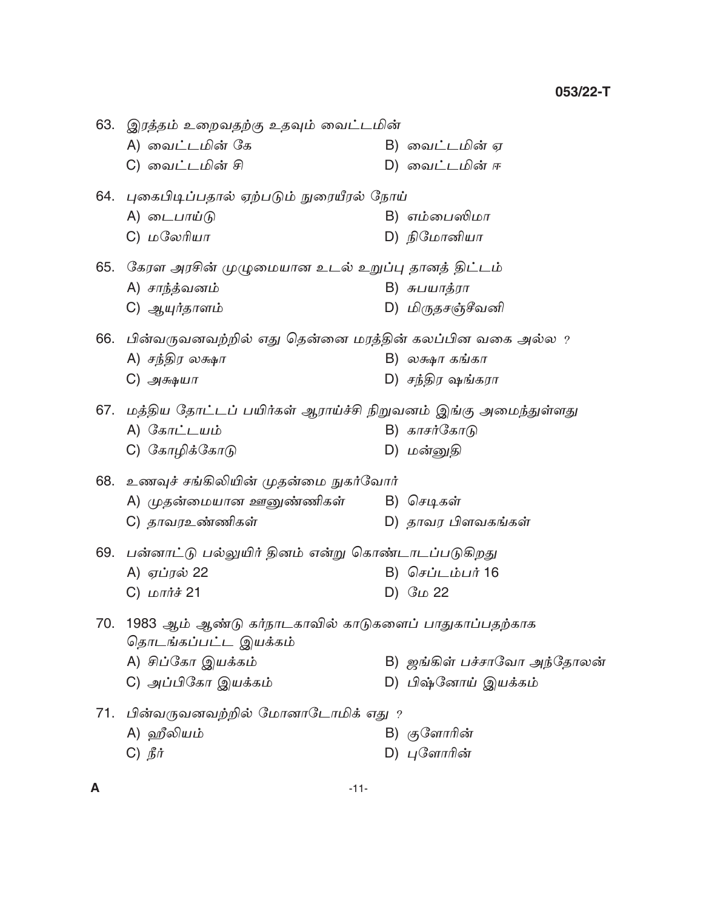63. இரத்தம் உறைவதற்கு உதவும் வைட்டமின் A) வைட்டமின் கே B) வைட்டமின் ஏ C) வைட்டமின் சி D) வைட்டமின் ஈ 64. புகைபிடிப்பதால் ஏற்படும் நுரையீரல் நோய் A) டைபாய்டு B) எம்பைஸிமா D) நிமோனியா C) மலேரியா 65. கேரள அரசின் முழுமையான உடல் உறுப்பு தானத் திட்டம் A) சாந்த்வனம் B) சுபயாத்ரா D) மிருதசஞ்சீவனி C) ஆயுர்தாளம் 66. பின்வருவனவற்றில் எது தென்னை மரத்தின் கலப்பின வகை அல்ல ? A) சந்திர லக்ஷா  $B)$  லக்ஷா கங்கா D) சந்திர ஷங்கரா  $C)$  அக்ஷயா 67. மத்திய தோட்டப் பயிர்கள் ஆராய்ச்சி நிறுவனம் இங்கு அமைந்துள்ளது A) கோட்டயம் B) காசர்கோடு C) கோழிக்கோடு D) மன்னுதி 68. உணவுச் சங்கிலியின் முதன்மை நுகர்வோர் A) முதன்மையான ஊனுண்ணிகள் B) செடிகள் C) தாவரஉண்ணிகள் D) தாவர பிளவகங்கள் 69. பன்னாட்டு பல்லுயிர் தினம் என்று கொண்டாடப்படுகிறது A) ஏப்ரல் 22 B) செப்டம்பர் 16 C)  $L$   $\overrightarrow{L}$   $\overrightarrow{H}$   $\overrightarrow{A}$   $21$ D)  $G_{LD}$  22 70. 1983 ஆம் ஆண்டு கர்நாடகாவில் காடுகளைப் பாதுகாப்பதற்காக தொடங்கப்பட்ட இயக்கம் A) சிப்கோ இயக்கம் B) ஜங்கிள் பச்சாவோ அந்தோலன் C) அப்பிகோ இயக்கம் D) பிஷ்னோய் இயக்கம் 71. பின்வருவனவற்றில் மோனாடோமிக் எது ? A) ஹீலியம் B) குளோரின்  $C)$   $\hat{B}$  $\hat{\sigma}$ D) புளோரின்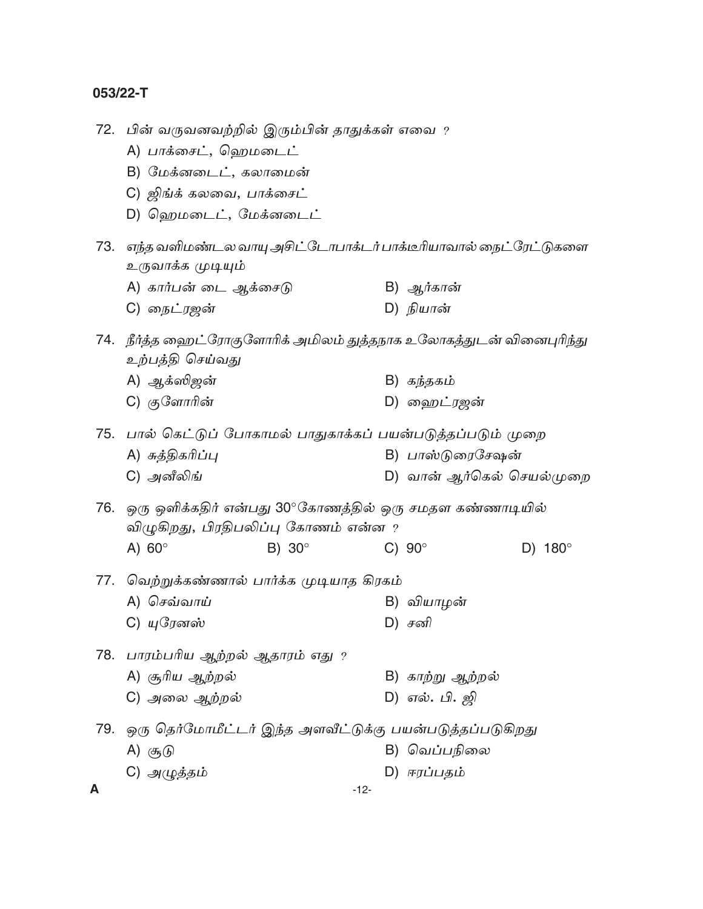|   | 72.   பின் வருவனவற்றில் இரும்பின் தாதுக்கள் எவை ?                   |               |        |                           |                |
|---|---------------------------------------------------------------------|---------------|--------|---------------------------|----------------|
|   | A) பாக்சைட், ஹெமடைட்                                                |               |        |                           |                |
|   | B) மேக்னடைட், கலாமைன்                                               |               |        |                           |                |
|   | C) ஜிங்க் கலவை, பாக்சைட்                                            |               |        |                           |                |
|   | D) ஹெமடைட், மேக்னடைட்                                               |               |        |                           |                |
|   | 73. எந்த வளிமண்டல வாயு அசிட்டோபாக்டர் பாக்டீரியாவால் நைட்ரேட்டுகளை  |               |        |                           |                |
|   | உருவாக்க முடியும்                                                   |               |        |                           |                |
|   | A) கார்பன் டை ஆக்சைடு                                               |               |        | B) <i>ஆர்கான்</i>         |                |
|   | C) நைட்ரஜன்                                                         |               |        | D) நியான்                 |                |
|   | 74. நீர்த்த ஹைட்ரோகுளோரிக் அமிலம் துத்தநாக உலோகத்துடன் வினைபுரிந்து |               |        |                           |                |
|   | உற்பத்தி செய்வ <u>த</u> ு                                           |               |        |                           |                |
|   | A) ஆக்ஸிஜன்                                                         |               |        | B) கந்தகம்                |                |
|   | C) குளோரின்                                                         |               |        | D) ஹைட்ரஜன்               |                |
|   | 75.  பால் கெட்டுப் போகாமல் பாதுகாக்கப் பயன்படுத்தப்படும் முறை       |               |        |                           |                |
|   | A) சுத்திகரிப்பு                                                    |               |        | B) பாஸ்டுரைசேஷன்          |                |
|   | C) அனீலிங்                                                          |               |        | D) வான் ஆர்கெல் செயல்முறை |                |
|   | 76.   ஒரு ஒளிக்கதிர் என்பது 30°கோணத்தில் ஒரு சமதள கண்ணாடியில்       |               |        |                           |                |
|   | விழுகிறது, பிரதிபலிப்பு கோணம் என்ன ?                                |               |        |                           |                |
|   | A) $60^\circ$                                                       | B) $30^\circ$ |        | C) $90^\circ$             | D) $180^\circ$ |
|   | 77.  வெற்றுக்கண்ணால் பார்க்க முடியாத கிரகம்                         |               |        |                           |                |
|   | A) செவ்வாய்                                                         |               |        | B) வியாழன்                |                |
|   | C) யுரேனஸ்                                                          |               |        | $D)$ சனி                  |                |
|   | 78.  பாரம்பரிய ஆற்றல் ஆதாரம் எது ?                                  |               |        |                           |                |
|   | A) சூரிய ஆற்றல்                                                     |               |        | B) காற்று ஆற்றல்          |                |
|   | C) அலை ஆற்றல்                                                       |               |        | D) எல். பி. ஜி            |                |
|   | 79.  ஒரு தெர்மோமீட்டர் இந்த அளவீட்டுக்கு பயன்படுத்தப்படுகிறது       |               |        |                           |                |
|   | A) சூடு                                                             |               |        | B) வெப்பநிலை              |                |
|   | C) அழுத்தம்                                                         |               |        | D) ஈரப்பதம்               |                |
| A |                                                                     |               | $-12-$ |                           |                |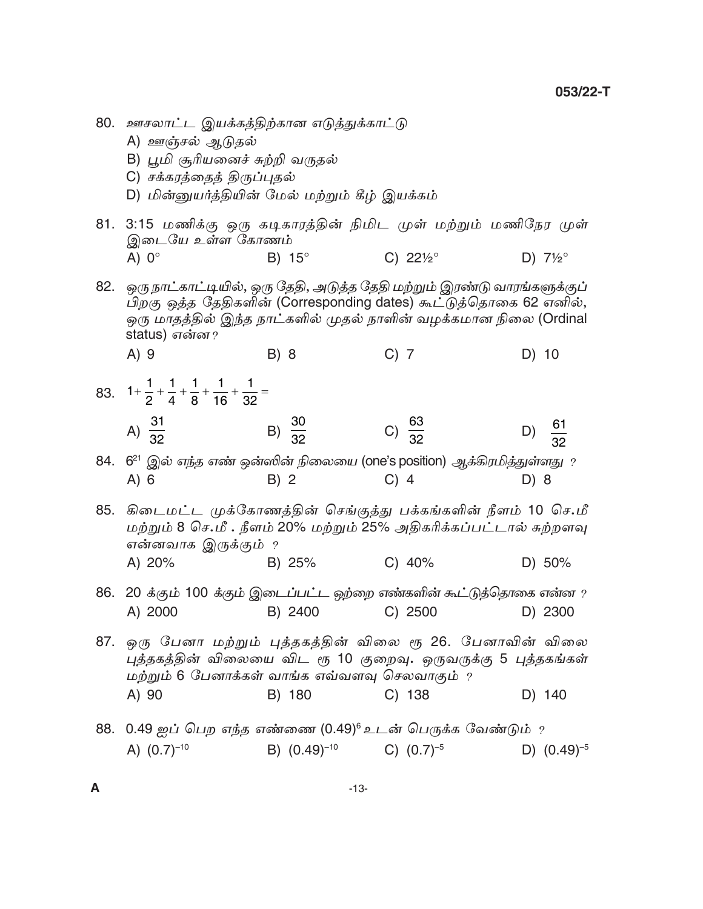D) 10

- 80. ஊசலாட்ட இயக்கத்திற்கான எடுத்துக்காட்டு
	- A) ஊஞ்சல் ஆடுதல்

 $A)9$ 

- B) பூமி சூரியனைச் சுற்றி வருதல்
- C) சக்கரத்தைத் திருப்புதல்
- D) மின்னுயர்த்தியின் மேல் மற்றும் கீழ் இயக்கம்

B) 8

- 81. 3:15 மணிக்கு ஒரு கடிகாரத்தின் நிமிட முள் மற்றும் மணிநேர முள் இடையே உள்ள கோணம் A)  $0^\circ$ C)  $22\frac{1}{2}$ <sup>o</sup> D)  $7\frac{1}{2}$ °  $B) 15^\circ$
- 82. ஒரு நாட்காட்டியில், ஒரு தேதி, அடுத்த தேதி மற்றும் இரண்டு வாரங்களுக்குப் பிறகு ஒத்த தேதிகளின் (Corresponding dates) கூட்டுத்தொகை 62 எனில், ஒரு மாதத்தில் இந்த நாட்களில் முதல் நாளின் வழக்கமான நிலை (Ordinal status) என்ன?

 $C)$  7

- 83.  $1+\frac{1}{2}+\frac{1}{4}+\frac{1}{8}+\frac{1}{16}+\frac{1}{32}=$ A)  $\frac{31}{32}$ B)  $\frac{30}{32}$ C)  $\frac{63}{32}$  $\frac{61}{32}$  $D)$
- 84.  $6^{21}$  இல் எந்த எண் ஒன்ஸின் நிலையை (one's position) ஆக்கிரமித்துள்ளது ?  $C)$  4  $A) 6$  $B) 2$  $D) 8$
- 85. கிடைமட்ட முக்கோணத்தின் செங்குத்து பக்கங்களின் நீளம் 10 செ.மீ மற்றும் 8 செ.மீ . நீளம் 20% மற்றும் 25% அதிகரிக்கப்பட்டால் சுற்றளவு என்னவாக இருக்கும் ?  $C) 40%$ B) 25% A) 20% D) 50%
- 86. 20 க்கும் 100 க்கும் இடைப்பட்ட ஒற்றை எண்களின் கூட்டுத்தொகை என்ன ? A) 2000 B) 2400  $C)$  2500 D) 2300
- 87. ஒரு பேனா மற்றும் புத்தகத்தின் விலை ரூ 26. பேனாவின் விலை புத்தகத்தின் விலையை விட ரூ 10 குறைவு. ஒருவருக்கு 5 புத்தகங்கள் மற்றும் 6 பேனாக்கள் வாங்க எவ்வளவு செலவாகும் ? A) 90 B) 180  $C)$  138 D) 140
- 88. 0.49 ஐப் பெற எந்த எண்ணை (0.49)6 உடன் பெருக்க வேண்டும் ? A)  $(0.7)^{-10}$ B)  $(0.49)^{-10}$ C)  $(0.7)^{-5}$ D)  $(0.49)^{-5}$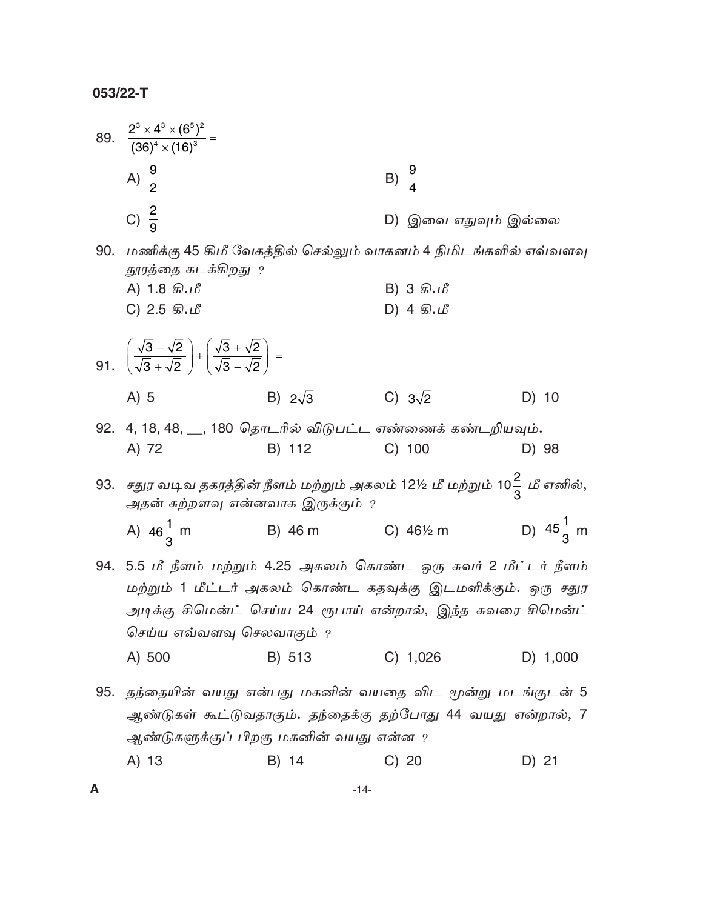$\boldsymbol{\mathsf{A}}$ 

|     | 89. $\frac{2^3 \times 4^3 \times (6^5)^2}{(36)^4 \times (16)^3} =$                                                       |                |                                                                                   |                      |  |
|-----|--------------------------------------------------------------------------------------------------------------------------|----------------|-----------------------------------------------------------------------------------|----------------------|--|
|     | A) $\frac{9}{2}$                                                                                                         |                | B) $\frac{9}{4}$                                                                  |                      |  |
|     | C) $\frac{2}{9}$                                                                                                         |                | D) இவை எதுவும் இல்லை                                                              |                      |  |
| 90. | மணிக்கு 45 கிமீ வேகத்தில் செல்லும் வாகனம் 4 நிமிடங்களில் எவ்வளவு<br>தூரத்தை கடக்கிறது ?                                  |                |                                                                                   |                      |  |
|     | A) 1.8 கி.மீ                                                                                                             |                | B) 3 கி.மீ                                                                        |                      |  |
|     | C) $2.5$ கி.மீ                                                                                                           |                | $D)$ 4 கி.மீ                                                                      |                      |  |
|     | 91. $\left(\frac{\sqrt{3}-\sqrt{2}}{\sqrt{3}+\sqrt{2}}\right)+\left(\frac{\sqrt{3}+\sqrt{2}}{\sqrt{3}-\sqrt{2}}\right)=$ |                |                                                                                   |                      |  |
|     | $A)$ 5                                                                                                                   | B) $2\sqrt{3}$ | C) $3\sqrt{2}$                                                                    | D) 10                |  |
|     | 92. 4, 18, 48, __, 180 தொடரில் விடுபட்ட எண்ணைக் கண்டறியவும்.                                                             |                |                                                                                   |                      |  |
|     | A) 72                                                                                                                    | B) 112         | $C)$ 100                                                                          | D) 98                |  |
| 93. | அதன் சுற்றளவு என்னவாக இருக்கும் ﹖                                                                                        |                | சதுர வடிவ தகரத்தின் நீளம் மற்றும் அகலம் 12½ மீ மற்றும் 10 $\frac{2}{3}$ மீ எனில், |                      |  |
|     | A) $46\frac{1}{3}$ m                                                                                                     | B) 46 m        | C) $46\frac{1}{2}$ m                                                              | D) $45\frac{1}{3}$ m |  |
|     | 94. 5.5 மீ நீளம் மற்றும் 4.25 அகலம் கொண்ட ஒரு சுவர் 2 மீட்டர் நீளம்                                                      |                |                                                                                   |                      |  |
|     | மற்றும் 1 மீட்டர் அகலம் கொண்ட கதவுக்கு இடமளிக்கும். ஒரு சதுர                                                             |                |                                                                                   |                      |  |
|     | அடிக்கு சிமென்ட் செய்ய 24 ரூபாய் என்றால், இந்த சுவரை சிமென்ட்                                                            |                |                                                                                   |                      |  |
|     | செய்ய எவ்வளவு செலவாகும் $\,$                                                                                             |                |                                                                                   |                      |  |
|     | A) 500                                                                                                                   | B) 513         | C) 1,026                                                                          | D) 1,000             |  |
| 95. | தந்தையின் வயது என்பது மகனின் வயதை விட மூன்று மடங்குடன் 5                                                                 |                |                                                                                   |                      |  |
|     | ஆண்டுகள் கூட்டுவதாகும். தந்தைக்கு தற்போது 44 வயது என்றால், 7                                                             |                |                                                                                   |                      |  |
|     | ஆண்டுகளுக்குப் பிறகு மகனின் வயது என்ன $\,$                                                                               |                |                                                                                   |                      |  |
|     | A) 13                                                                                                                    | B) 14          | C) 20                                                                             | D) 21                |  |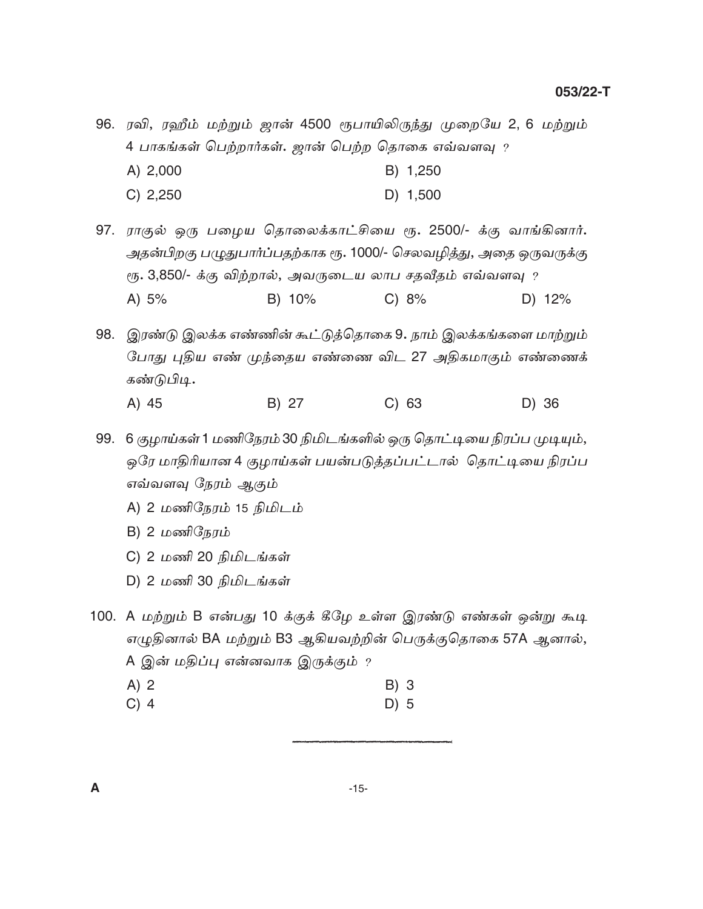96. ரவி, ரஹீம் மற்றும் ஜான் 4500 ரூபாயிலிருந்து முறையே 2, 6 மற்றும் 4 பாகங்கள் பெற்றார்கள். ஜான் பெற்ற தொகை எவ்வளவு ?

- A) 2,000 B) 1,250
- $C) 2,250$ D) 1,500

97. ராகுல் ஒரு பழைய தொலைக்காட்சியை ரூ. 2500/- க்கு வாங்கினார். அதன்பிறகு பழுதுபார்ப்பதற்காக ரூ. 1000/- செலவழித்து, அதை ஒருவருக்கு ரூ. 3,850/- க்கு விற்றால், அவருடைய லாப சதவீதம் எவ்வளவு ? A)  $5%$ B) 10%  $C) 8%$ D) 12%

98. இரண்டு இலக்க எண்ணின் கூட்டுத்தொகை 9. நாம் இலக்கங்களை மாற்றும் போது புதிய எண் முந்தைய எண்ணை விட 27 அதிகமாகும் எண்ணைக் கண்டுபிடி.

B) 27  $C)$  63 A) 45 D) 36

99. 6 குழாய்கள் 1 மணிநேரம் 30 நிமிடங்களில் ஒரு தொட்டியை நிரப்ப முடியும், ஒரே மாதிரியான 4 குழாய்கள் பயன்படுத்தப்பட்டால் தொட்டியை நிரப்ப எவ்வளவு நேரம் ஆகும்

- A) 2 மணிநேரம் 15 நிமிடம்
- B) 2 மணிநேரம்
- C) 2 மணி 20 நிமிடங்கள்
- D) 2 மணி 30 நிமிடங்கள்

100. A மற்றும் B என்பது 10 க்குக் கீழே உள்ள இரண்டு எண்கள் ஒன்று கூடி எழுதினால் BA மற்றும் B3 ஆகியவற்றின் பெருக்குதொகை 57A ஆனால், A இன் மதிப்பு என்னவாக இருக்கும் ?

- $A)$  2 B) 3
- $C)$  4  $D)$  5